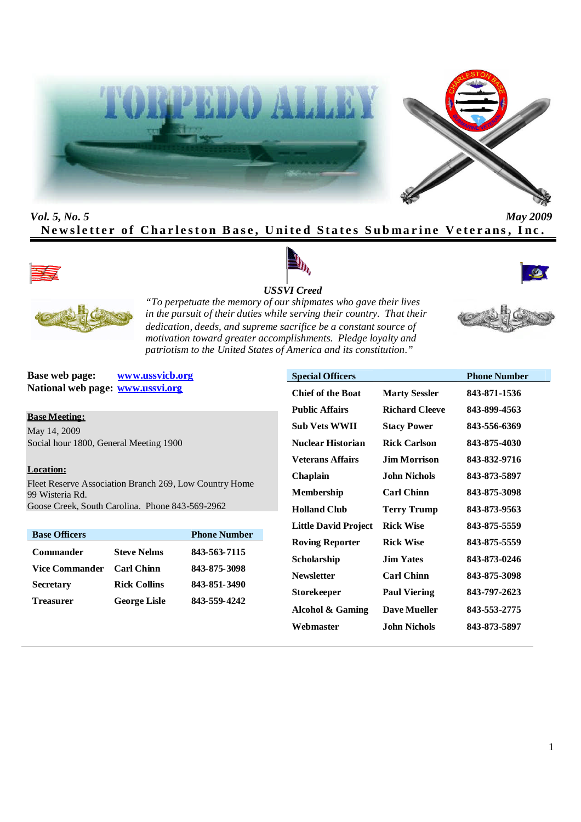



*Vol. 5, No. 5 May 2009* Newsletter of Charleston Base, United States Submarine Veterans, Inc.









*USSVI Creed*

*"To perpetuate the memory of our shipmates who gave their lives in the pursuit of their duties while serving their country. That their dedication, deeds, and supreme sacrifice be a constant source of motivation toward greater accomplishments. Pledge loyalty and patriotism to the United States of America and its constitution."*

**Base web page: www.ussvicb.org National web page: www.ussvi.org**

**Base Meeting:**

May 14, 2009 Social hour 1800, General Meeting 1900

# **Location:**

Fleet Reserve Association Branch 269, Low Country Home 99 Wisteria Rd. Goose Creek, South Carolina. Phone 843-569-2962

| <b>Base Officers</b> |                     | <b>Phone Number</b> |
|----------------------|---------------------|---------------------|
| Commander            | <b>Steve Nelms</b>  | 843-563-7115        |
| Vice Commander       | <b>Carl Chinn</b>   | 843-875-3098        |
| <b>Secretary</b>     | <b>Rick Collins</b> | 843-851-3490        |
| <b>Treasurer</b>     | <b>George Lisle</b> | 843-559-4242        |

| <b>Special Officers</b>     |                       | <b>Phone Number</b> |
|-----------------------------|-----------------------|---------------------|
| <b>Chief of the Boat</b>    | <b>Marty Sessler</b>  | 843-871-1536        |
| <b>Public Affairs</b>       | <b>Richard Cleeve</b> | 843-899-4563        |
| <b>Sub Vets WWII</b>        | <b>Stacy Power</b>    | 843-556-6369        |
| Nuclear Historian           | <b>Rick Carlson</b>   | 843-875-4030        |
| <b>Veterans Affairs</b>     | <b>Jim Morrison</b>   | 843-832-9716        |
| Chaplain                    | John Nichols          | 843-873-5897        |
| <b>Membership</b>           | <b>Carl Chinn</b>     | 843-875-3098        |
| <b>Holland Club</b>         | <b>Terry Trump</b>    | 843-873-9563        |
| <b>Little David Project</b> | <b>Rick Wise</b>      | 843-875-5559        |
| <b>Roving Reporter</b>      | <b>Rick Wise</b>      | 843-875-5559        |
| Scholarship                 | <b>Jim Yates</b>      | 843-873-0246        |
| <b>Newsletter</b>           | <b>Carl Chinn</b>     | 843-875-3098        |
| <b>Storekeeper</b>          | <b>Paul Viering</b>   | 843-797-2623        |
| Alcohol & Gaming            | <b>Dave Mueller</b>   | 843-553-2775        |
| Webmaster                   | John Nichols          | 843-873-5897        |
|                             |                       |                     |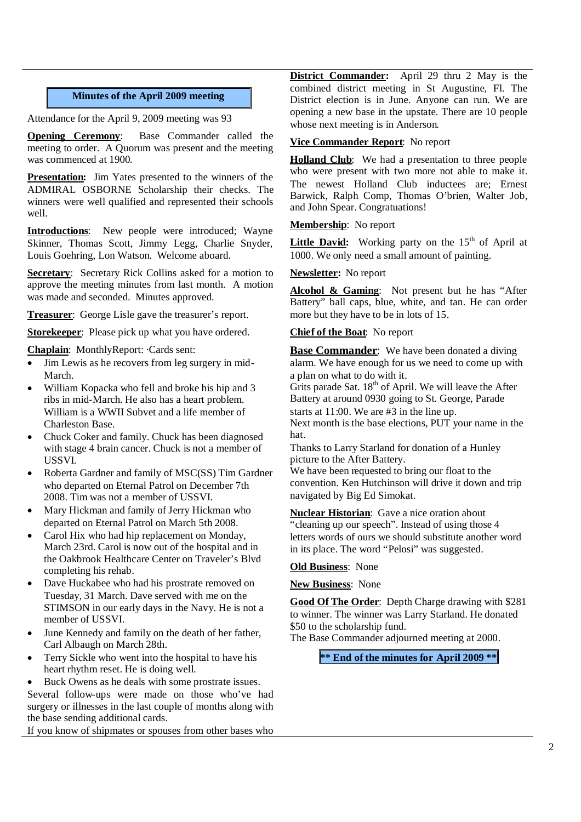# **Minutes of the April 2009 meeting**

Attendance for the April 9, 2009 meeting was 93

**Opening Ceremony:** Base Commander called the meeting to order. A Quorum was present and the meeting was commenced at 1900.

**Presentation:** Jim Yates presented to the winners of the ADMIRAL OSBORNE Scholarship their checks. The winners were well qualified and represented their schools well.

**Introductions**: New people were introduced; Wayne Skinner, Thomas Scott, Jimmy Legg, Charlie Snyder, Louis Goehring, Lon Watson. Welcome aboard.

**Secretary**: Secretary Rick Collins asked for a motion to approve the meeting minutes from last month. A motion was made and seconded. Minutes approved.

**Treasurer**: George Lisle gave the treasurer's report.

**Storekeeper**: Please pick up what you have ordered.

**Chaplain**: MonthlyReport: ·Cards sent:

- Jim Lewis as he recovers from leg surgery in mid-March.
- William Kopacka who fell and broke his hip and 3 ribs in mid-March. He also has a heart problem. William is a WWII Subvet and a life member of Charleston Base.
- Chuck Coker and family. Chuck has been diagnosed with stage 4 brain cancer. Chuck is not a member of USSVI.
- Roberta Gardner and family of MSC(SS) Tim Gardner who departed on Eternal Patrol on December 7th 2008. Tim was not a member of USSVI.
- Mary Hickman and family of Jerry Hickman who departed on Eternal Patrol on March 5th 2008.
- Carol Hix who had hip replacement on Monday, March 23rd. Carol is now out of the hospital and in the Oakbrook Healthcare Center on Traveler's Blvd completing his rehab.
- Dave Huckabee who had his prostrate removed on Tuesday, 31 March. Dave served with me on the STIMSON in our early days in the Navy. He is not a member of USSVI.
- June Kennedy and family on the death of her father, Carl Albaugh on March 28th.
- Terry Sickle who went into the hospital to have his heart rhythm reset. He is doing well.
- Buck Owens as he deals with some prostrate issues.

Several follow-ups were made on those who've had surgery or illnesses in the last couple of months along with the base sending additional cards.

If you know of shipmates or spouses from other bases who

**District Commander:** April 29 thru 2 May is the combined district meeting in St Augustine, Fl. The District election is in June. Anyone can run. We are opening a new base in the upstate. There are 10 people whose next meeting is in Anderson.

#### **Vice Commander Report**: No report

**Holland Club**: We had a presentation to three people who were present with two more not able to make it. The newest Holland Club inductees are; Ernest Barwick, Ralph Comp, Thomas O'brien, Walter Job, and John Spear. Congratuations!

#### **Membership**: No report

**Little David:** Working party on the  $15<sup>th</sup>$  of April at 1000. We only need a small amount of painting.

## **Newsletter:** No report

**Alcohol & Gaming**: Not present but he has "After Battery" ball caps, blue, white, and tan. He can order more but they have to be in lots of 15.

#### **Chief of the Boat**: No report

**Base Commander:** We have been donated a diving alarm. We have enough for us we need to come up with a plan on what to do with it.

Grits parade Sat.  $18<sup>th</sup>$  of April. We will leave the After Battery at around 0930 going to St. George, Parade

starts at 11:00. We are #3 in the line up.

Next month is the base elections, PUT your name in the hat.

Thanks to Larry Starland for donation of a Hunley picture to the After Battery.

We have been requested to bring our float to the convention. Ken Hutchinson will drive it down and trip navigated by Big Ed Simokat.

**Nuclear Historian**: Gave a nice oration about "cleaning up our speech". Instead of using those 4 letters words of ours we should substitute another word in its place. The word "Pelosi" was suggested.

#### **Old Business**: None

#### **New Business**: None

**Good Of The Order**: Depth Charge drawing with \$281 to winner. The winner was Larry Starland. He donated \$50 to the scholarship fund.

The Base Commander adjourned meeting at 2000.

**\*\* End of the minutes for April 2009 \*\***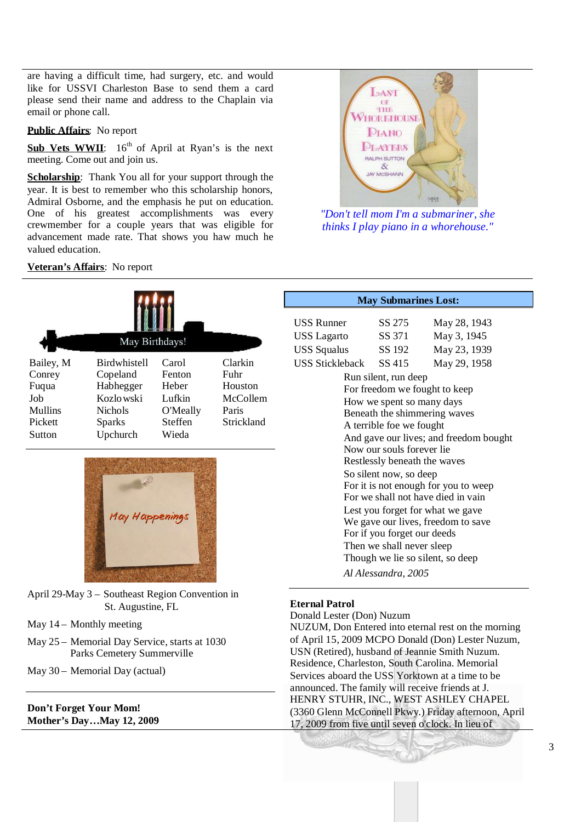are having a difficult time, had surgery, etc. and would like for USSVI Charleston Base to send them a card please send their name and address to the Chaplain via email or phone call.

#### **Public Affairs**: No report

Sub Vets WWII:  $16^{th}$  of April at Ryan's is the next meeting. Come out and join us.

**Scholarship**: Thank You all for your support through the year. It is best to remember who this scholarship honors, Admiral Osborne, and the emphasis he put on education. One of his greatest accomplishments was every crewmember for a couple years that was eligible for advancement made rate. That shows you haw much he valued education.

# **Veteran's Affairs**: No report





- April 29-May 3 Southeast Region Convention in St. Augustine, FL
- May 14 Monthly meeting
- May 25 Memorial Day Service, starts at 1030 Parks Cemetery Summerville
- May 30 Memorial Day (actual)

#### **Don't Forget Your Mom! Mother's Day…May 12, 2009**



*"Don't tell mom I'm a submariner, she thinks I play piano in a whorehouse."*

| <b>May Submarines Lost:</b>            |                     |              |  |  |
|----------------------------------------|---------------------|--------------|--|--|
| USS Runner                             | SS 275              | May 28, 1943 |  |  |
| USS Lagarto                            | SS 371              | May 3, 1945  |  |  |
| <b>USS Squalus</b>                     | SS 192              | May 23, 1939 |  |  |
| USS Stickleback SS 415                 |                     | May 29, 1958 |  |  |
| Run silent, run deep                   |                     |              |  |  |
| For freedom we fought to keep          |                     |              |  |  |
| How we spent so many days              |                     |              |  |  |
| Beneath the shimmering waves           |                     |              |  |  |
| A terrible foe we fought               |                     |              |  |  |
| And gave our lives; and freedom bought |                     |              |  |  |
| Now our souls forever lie              |                     |              |  |  |
| Restlessly beneath the waves           |                     |              |  |  |
| So silent now, so deep                 |                     |              |  |  |
| For it is not enough for you to weep   |                     |              |  |  |
| For we shall not have died in vain     |                     |              |  |  |
| Lest you forget for what we gave       |                     |              |  |  |
| We gave our lives, freedom to save     |                     |              |  |  |
| For if you forget our deeds            |                     |              |  |  |
| Then we shall never sleep              |                     |              |  |  |
| Though we lie so silent, so deep       |                     |              |  |  |
|                                        | Al Alessandra, 2005 |              |  |  |
|                                        |                     |              |  |  |

# **Eternal Patrol**

Donald Lester (Don) Nuzum NUZUM, Don Entered into eternal rest on the morning of April 15, 2009 MCPO Donald (Don) Lester Nuzum, USN (Retired), husband of Jeannie Smith Nuzum. Residence, Charleston, South Carolina. Memorial Services aboard the USS Yorktown at a time to be announced. The family will receive friends at J. HENRY STUHR, INC., WEST ASHLEY CHAPEL (3360 Glenn McConnell Pkwy.) Friday afternoon, April 17, 2009 from five until seven o'clock. In lieu of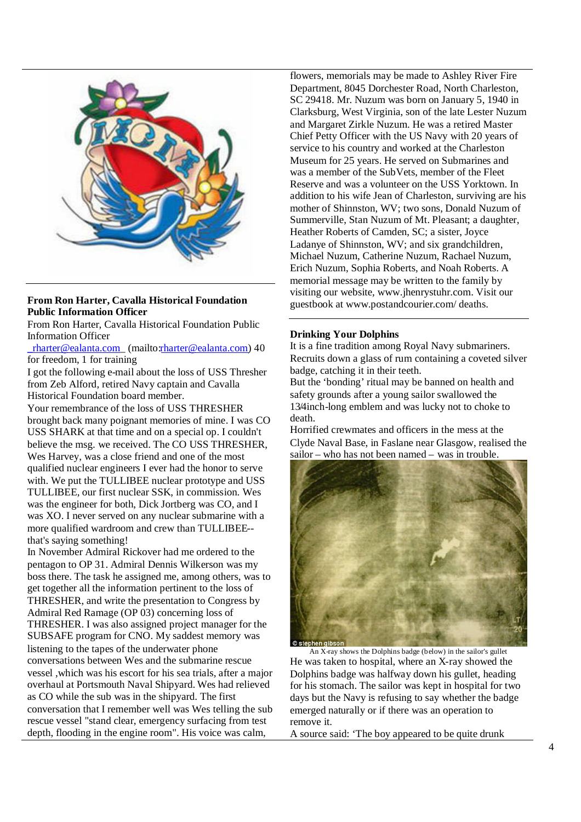

## **From Ron Harter, Cavalla Historical Foundation Public Information Officer**

From Ron Harter, Cavalla Historical Foundation Public Information Officer

 $r$ harter@ealanta.com (mailto:rharter@ealanta.com) 40 for freedom, 1 for training

I got the following e-mail about the loss of USS Thresher from Zeb Alford, retired Navy captain and Cavalla Historical Foundation board member.

Your remembrance of the loss of USS THRESHER brought back many poignant memories of mine. I was CO USS SHARK at that time and on a special op. I couldn't believe the msg. we received. The CO USS THRESHER, Wes Harvey, was a close friend and one of the most qualified nuclear engineers I ever had the honor to serve with. We put the TULLIBEE nuclear prototype and USS TULLIBEE, our first nuclear SSK, in commission. Wes was the engineer for both, Dick Jortberg was CO, and I was XO. I never served on any nuclear submarine with a more qualified wardroom and crew than TULLIBEE- that's saying something!

In November Admiral Rickover had me ordered to the pentagon to OP 31. Admiral Dennis Wilkerson was my boss there. The task he assigned me, among others, was to get together all the information pertinent to the loss of THRESHER, and write the presentation to Congress by Admiral Red Ramage (OP 03) concerning loss of THRESHER. I was also assigned project manager for the SUBSAFE program for CNO. My saddest memory was listening to the tapes of the underwater phone conversations between Wes and the submarine rescue vessel ,which was his escort for his sea trials, after a major overhaul at Portsmouth Naval Shipyard. Wes had relieved as CO while the sub was in the shipyard. The first conversation that I remember well was Wes telling the sub rescue vessel "stand clear, emergency surfacing from test depth, flooding in the engine room". His voice was calm,

flowers, memorials may be made to Ashley River Fire Department, 8045 Dorchester Road, North Charleston, SC 29418. Mr. Nuzum was born on January 5, 1940 in Clarksburg, West Virginia, son of the late Lester Nuzum and Margaret Zirkle Nuzum. He was a retired Master Chief Petty Officer with the US Navy with 20 years of service to his country and worked at the Charleston Museum for 25 years. He served on Submarines and was a member of the SubVets, member of the Fleet Reserve and was a volunteer on the USS Yorktown. In addition to his wife Jean of Charleston, surviving are his mother of Shinnston, WV; two sons, Donald Nuzum of Summerville, Stan Nuzum of Mt. Pleasant; a daughter, Heather Roberts of Camden, SC; a sister, Joyce Ladanye of Shinnston, WV; and six grandchildren, Michael Nuzum, Catherine Nuzum, Rachael Nuzum, Erich Nuzum, Sophia Roberts, and Noah Roberts. A memorial message may be written to the family by visiting our website, www.jhenrystuhr.com. Visit our guestbook at www.postandcourier.com/ deaths.

#### **Drinking Your Dolphins**

It is a fine tradition among Royal Navy submariners. Recruits down a glass of rum containing a coveted silver badge, catching it in their teeth.

But the 'bonding' ritual may be banned on health and safety grounds after a young sailor swallowed the 13/4inch-long emblem and was lucky not to choke to death.

Horrified crewmates and officers in the mess at the Clyde Naval Base, in Faslane near Glasgow, realised the sailor – who has not been named – was in trouble.



An X-ray shows the Dolphins badge (below) in the sailor's gullet He was taken to hospital, where an X-ray showed the Dolphins badge was halfway down his gullet, heading for his stomach. The sailor was kept in hospital for two days but the Navy is refusing to say whether the badge emerged naturally or if there was an operation to remove it.

A source said: 'The boy appeared to be quite drunk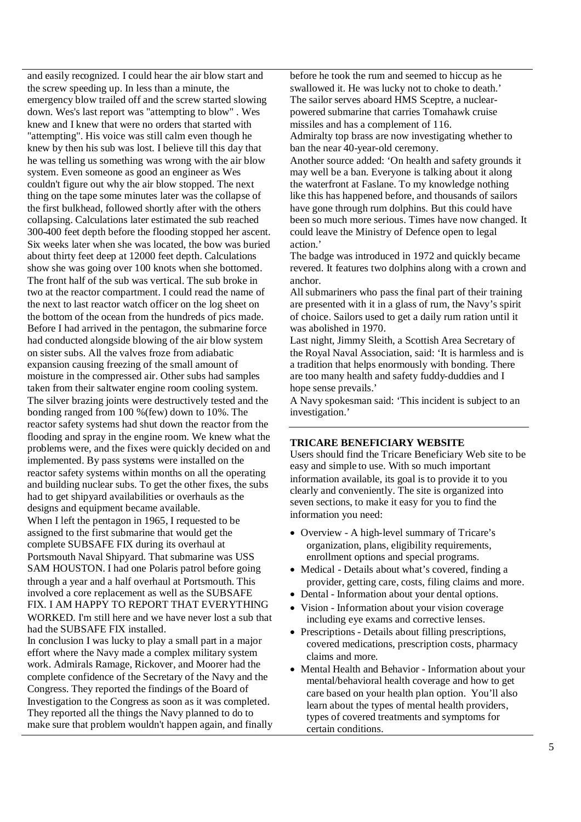and easily recognized. I could hear the air blow start and the screw speeding up. In less than a minute, the emergency blow trailed off and the screw started slowing down. Wes's last report was "attempting to blow" . Wes knew and I knew that were no orders that started with "attempting". His voice was still calm even though he knew by then his sub was lost. I believe till this day that he was telling us something was wrong with the air blow system. Even someone as good an engineer as Wes couldn't figure out why the air blow stopped. The next thing on the tape some minutes later was the collapse of the first bulkhead, followed shortly after with the others collapsing. Calculations later estimated the sub reached 300-400 feet depth before the flooding stopped her ascent. Six weeks later when she was located, the bow was buried about thirty feet deep at 12000 feet depth. Calculations show she was going over 100 knots when she bottomed. The front half of the sub was vertical. The sub broke in two at the reactor compartment. I could read the name of the next to last reactor watch officer on the log sheet on the bottom of the ocean from the hundreds of pics made. Before I had arrived in the pentagon, the submarine force had conducted alongside blowing of the air blow system on sister subs. All the valves froze from adiabatic expansion causing freezing of the small amount of moisture in the compressed air. Other subs had samples taken from their saltwater engine room cooling system. The silver brazing joints were destructively tested and the bonding ranged from 100 %(few) down to 10%. The reactor safety systems had shut down the reactor from the flooding and spray in the engine room. We knew what the problems were, and the fixes were quickly decided on and implemented. By pass systems were installed on the reactor safety systems within months on all the operating and building nuclear subs. To get the other fixes, the subs had to get shipyard availabilities or overhauls as the designs and equipment became available.

When I left the pentagon in 1965, I requested to be assigned to the first submarine that would get the complete SUBSAFE FIX during its overhaul at Portsmouth Naval Shipyard. That submarine was USS SAM HOUSTON. I had one Polaris patrol before going through a year and a half overhaul at Portsmouth. This involved a core replacement as well as the SUBSAFE FIX. I AM HAPPY TO REPORT THAT EVERYTHING WORKED. I'm still here and we have never lost a sub that had the SUBSAFE FIX installed.

In conclusion I was lucky to play a small part in a major effort where the Navy made a complex military system work. Admirals Ramage, Rickover, and Moorer had the complete confidence of the Secretary of the Navy and the Congress. They reported the findings of the Board of Investigation to the Congress as soon as it was completed. They reported all the things the Navy planned to do to make sure that problem wouldn't happen again, and finally before he took the rum and seemed to hiccup as he swallowed it. He was lucky not to choke to death.' The sailor serves aboard HMS Sceptre, a nuclearpowered submarine that carries Tomahawk cruise missiles and has a complement of 116.

Admiralty top brass are now investigating whether to ban the near 40-year-old ceremony.

Another source added: 'On health and safety grounds it may well be a ban. Everyone is talking about it along the waterfront at Faslane. To my knowledge nothing like this has happened before, and thousands of sailors have gone through rum dolphins. But this could have been so much more serious. Times have now changed. It could leave the Ministry of Defence open to legal action.'

The badge was introduced in 1972 and quickly became revered. It features two dolphins along with a crown and anchor.

All submariners who pass the final part of their training are presented with it in a glass of rum, the Navy's spirit of choice. Sailors used to get a daily rum ration until it was abolished in 1970.

Last night, Jimmy Sleith, a Scottish Area Secretary of the Royal Naval Association, said: 'It is harmless and is a tradition that helps enormously with bonding. There are too many health and safety fuddy-duddies and I hope sense prevails.'

A Navy spokesman said: 'This incident is subject to an investigation.'

## **TRICARE BENEFICIARY WEBSITE**

Users should find the Tricare Beneficiary Web site to be easy and simple to use. With so much important information available, its goal is to provide it to you clearly and conveniently. The site is organized into seven sections, to make it easy for you to find the information you need:

- Overview A high-level summary of Tricare's organization, plans, eligibility requirements, enrollment options and special programs.
- Medical Details about what's covered, finding a provider, getting care, costs, filing claims and more.
- Dental Information about your dental options.
- Vision Information about your vision coverage including eye exams and corrective lenses.
- Prescriptions Details about filling prescriptions, covered medications, prescription costs, pharmacy claims and more.
- Mental Health and Behavior Information about your mental/behavioral health coverage and how to get care based on your health plan option. You'll also learn about the types of mental health providers, types of covered treatments and symptoms for certain conditions.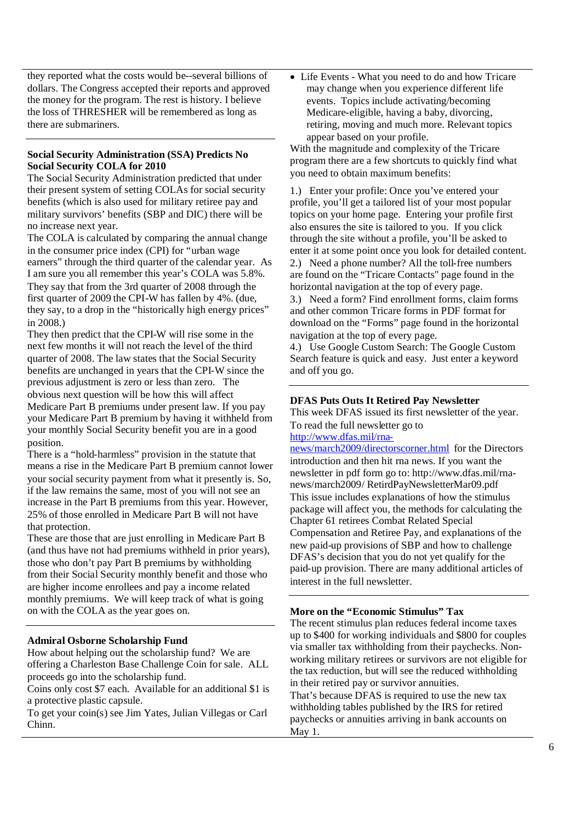they reported what the costs would be--several billions of dollars. The Congress accepted their reports and approved the money for the program. The rest is history. I believe the loss of THRESHER will be remembered as long as there are submariners.

## **Social Security Administration (SSA) Predicts No Social Security COLA for 2010**

The Social Security Administration predicted that under their present system of setting COLAs for social security benefits (which is also used for military retiree pay and military survivors' benefits (SBP and DIC) there will be no increase next year.

The COLA is calculated by comparing the annual change in the consumer price index (CPI) for "urban wage earners" through the third quarter of the calendar year. As I am sure you all remember this year's COLA was 5.8%. They say that from the 3rd quarter of 2008 through the first quarter of 2009 the CPI-W has fallen by 4%. (due, they say, to a drop in the "historically high energy prices" in 2008.)

They then predict that the CPI-W will rise some in the next few months it will not reach the level of the third quarter of 2008. The law states that the Social Security benefits are unchanged in years that the CPI-W since the previous adjustment is zero or less than zero. The obvious next question will be how this will affect Medicare Part B premiums under present law. If you pay your Medicare Part B premium by having it withheld from your monthly Social Security benefit you are in a good position.

There is a "hold-harmless" provision in the statute that means a rise in the Medicare Part B premium cannot lower your social security payment from what it presently is. So, if the law remains the same, most of you will not see an increase in the Part B premiums from this year. However, 25% of those enrolled in Medicare Part B will not have that protection.

These are those that are just enrolling in Medicare Part B (and thus have not had premiums withheld in prior years), those who don't pay Part B premiums by withholding from their Social Security monthly benefit and those who are higher income enrollees and pay a income related monthly premiums. We will keep track of what is going on with the COLA as the year goes on.

## **Admiral Osborne Scholarship Fund**

How about helping out the scholarship fund? We are offering a Charleston Base Challenge Coin for sale. ALL proceeds go into the scholarship fund.

Coins only cost \$7 each. Available for an additional \$1 is a protective plastic capsule.

To get your coin(s) see Jim Yates, Julian Villegas or Carl Chinn.

Life Events - What you need to do and how Tricare may change when you experience different life events. Topics include activating/becoming Medicare-eligible, having a baby, divorcing, retiring, moving and much more. Relevant topics appear based on your profile.

With the magnitude and complexity of the Tricare program there are a few shortcuts to quickly find what you need to obtain maximum benefits:

1.) Enter your profile: Once you've entered your profile, you'll get a tailored list of your most popular topics on your home page. Entering your profile first also ensures the site is tailored to you. If you click through the site without a profile, you'll be asked to enter it at some point once you look for detailed content. 2.) Need a phone number? All the toll-free numbers are found on the "Tricare Contacts" page found in the horizontal navigation at the top of every page.

3.) Need a form? Find enrollment forms, claim forms and other common Tricare forms in PDF format for download on the "Forms" page found in the horizontal navigation at the top of every page.

4.) Use Google Custom Search: The Google Custom Search feature is quick and easy. Just enter a keyword and off you go.

## **DFAS Puts Outs It Retired Pay Newsletter**

This week DFAS issued its first newsletter of the year. To read the full newsletter go to

http://www.dfas.mil/rna-

news/march2009/directorscorner.html for the Directors introduction and then hit rna news. If you want the newsletter in pdf form go to: http://www.dfas.mil/rnanews/march2009/ RetirdPayNewsletterMar09.pdf This issue includes explanations of how the stimulus package will affect you, the methods for calculating the Chapter 61 retirees Combat Related Special Compensation and Retiree Pay, and explanations of the new paid-up provisions of SBP and how to challenge DFAS's decision that you do not yet qualify for the paid-up provision. There are many additional articles of interest in the full newsletter.

## **More on the "Economic Stimulus" Tax**

The recent stimulus plan reduces federal income taxes up to \$400 for working individuals and \$800 for couples via smaller tax withholding from their paychecks. Nonworking military retirees or survivors are not eligible for the tax reduction, but will see the reduced withholding in their retired pay or survivor annuities. That's because DFAS is required to use the new tax withholding tables published by the IRS for retired paychecks or annuities arriving in bank accounts on May 1.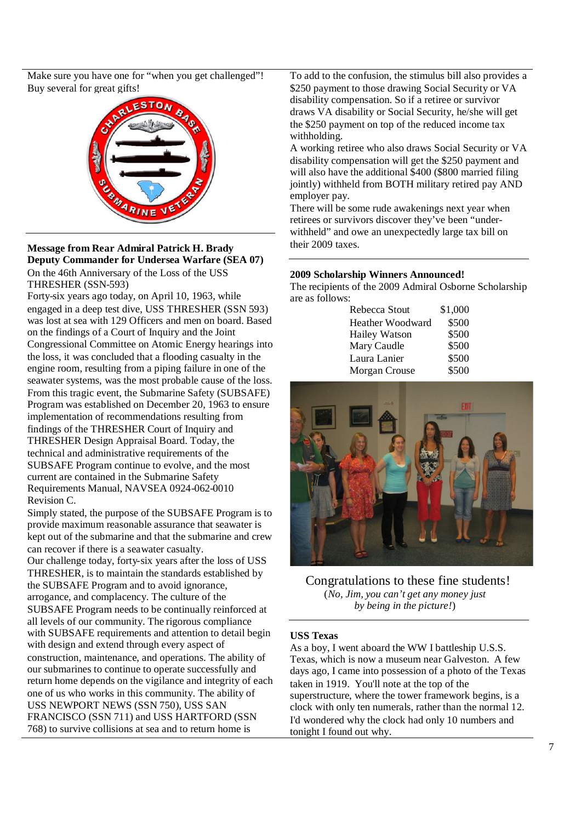Make sure you have one for "when you get challenged"! Buy several for great gifts!



**Message from Rear Admiral Patrick H. Brady Deputy Commander for Undersea Warfare (SEA 07)** On the 46th Anniversary of the Loss of the USS THRESHER (SSN-593)

Forty-six years ago today, on April 10, 1963, while engaged in a deep test dive, USS THRESHER (SSN 593) was lost at sea with 129 Officers and men on board. Based on the findings of a Court of Inquiry and the Joint Congressional Committee on Atomic Energy hearings into the loss, it was concluded that a flooding casualty in the engine room, resulting from a piping failure in one of the seawater systems, was the most probable cause of the loss. From this tragic event, the Submarine Safety (SUBSAFE) Program was established on December 20, 1963 to ensure implementation of recommendations resulting from findings of the THRESHER Court of Inquiry and THRESHER Design Appraisal Board. Today, the technical and administrative requirements of the SUBSAFE Program continue to evolve, and the most current are contained in the Submarine Safety Requirements Manual, NAVSEA 0924-062-0010 Revision C.

Simply stated, the purpose of the SUBSAFE Program is to provide maximum reasonable assurance that seawater is kept out of the submarine and that the submarine and crew can recover if there is a seawater casualty.

Our challenge today, forty-six years after the loss of USS THRESHER, is to maintain the standards established by the SUBSAFE Program and to avoid ignorance, arrogance, and complacency. The culture of the SUBSAFE Program needs to be continually reinforced at all levels of our community. The rigorous compliance with SUBSAFE requirements and attention to detail begin with design and extend through every aspect of construction, maintenance, and operations. The ability of our submarines to continue to operate successfully and return home depends on the vigilance and integrity of each one of us who works in this community. The ability of USS NEWPORT NEWS (SSN 750), USS SAN FRANCISCO (SSN 711) and USS HARTFORD (SSN 768) to survive collisions at sea and to return home is

To add to the confusion, the stimulus bill also provides a \$250 payment to those drawing Social Security or VA disability compensation. So if a retiree or survivor draws VA disability or Social Security, he/she will get the \$250 payment on top of the reduced income tax withholding.

A working retiree who also draws Social Security or VA disability compensation will get the \$250 payment and will also have the additional \$400 (\$800 married filing jointly) withheld from BOTH military retired pay AND employer pay.

There will be some rude awakenings next year when retirees or survivors discover they've been "underwithheld" and owe an unexpectedly large tax bill on their 2009 taxes.

## **2009 Scholarship Winners Announced!**

The recipients of the 2009 Admiral Osborne Scholarship are as follows:

| Rebecca Stout        | \$1,000 |
|----------------------|---------|
| Heather Woodward     | \$500   |
| <b>Hailey Watson</b> | \$500   |
| Mary Caudle          | \$500   |
| Laura Lanier         | \$500   |
| Morgan Crouse        | \$500   |
|                      |         |



Congratulations to these fine students! (*No, Jim, you can't get any money just by being in the picture!*)

## **USS Texas**

As a boy, I went aboard the WW I battleship U.S.S. Texas, which is now a museum near Galveston. A few days ago, I came into possession of a photo of the Texas taken in 1919. You'll note at the top of the superstructure, where the tower framework begins, is a clock with only ten numerals, rather than the normal 12. I'd wondered why the clock had only 10 numbers and tonight I found out why.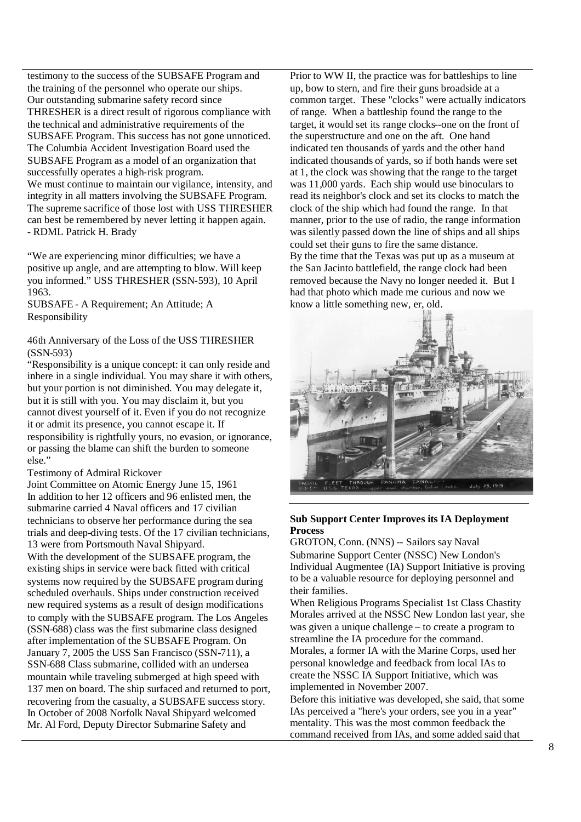testimony to the success of the SUBSAFE Program and the training of the personnel who operate our ships. Our outstanding submarine safety record since THRESHER is a direct result of rigorous compliance with the technical and administrative requirements of the SUBSAFE Program. This success has not gone unnoticed. The Columbia Accident Investigation Board used the SUBSAFE Program as a model of an organization that successfully operates a high-risk program. We must continue to maintain our vigilance, intensity, and integrity in all matters involving the SUBSAFE Program. The supreme sacrifice of those lost with USS THRESHER can best be remembered by never letting it happen again. - RDML Patrick H. Brady

"We are experiencing minor difficulties; we have a positive up angle, and are attempting to blow. Will keep you informed." USS THRESHER (SSN-593), 10 April 1963.

SUBSAFE - A Requirement; An Attitude; A Responsibility

## 46th Anniversary of the Loss of the USS THRESHER (SSN-593)

"Responsibility is a unique concept: it can only reside and inhere in a single individual. You may share it with others, but your portion is not diminished. You may delegate it, but it is still with you. You may disclaim it, but you cannot divest yourself of it. Even if you do not recognize it or admit its presence, you cannot escape it. If responsibility is rightfully yours, no evasion, or ignorance, or passing the blame can shift the burden to someone else."

#### Testimony of Admiral Rickover

Joint Committee on Atomic Energy June 15, 1961 In addition to her 12 officers and 96 enlisted men, the submarine carried 4 Naval officers and 17 civilian technicians to observe her performance during the sea trials and deep-diving tests. Of the 17 civilian technicians, 13 were from Portsmouth Naval Shipyard.

With the development of the SUBSAFE program, the existing ships in service were back fitted with critical systems now required by the SUBSAFE program during scheduled overhauls. Ships under construction received new required systems as a result of design modifications to comply with the SUBSAFE program. The Los Angeles (SSN-688) class was the first submarine class designed after implementation of the SUBSAFE Program. On January 7, 2005 the USS San Francisco (SSN-711), a SSN-688 Class submarine, collided with an undersea mountain while traveling submerged at high speed with 137 men on board. The ship surfaced and returned to port, recovering from the casualty, a SUBSAFE success story. In October of 2008 Norfolk Naval Shipyard welcomed Mr. Al Ford, Deputy Director Submarine Safety and

Prior to WW II, the practice was for battleships to line up, bow to stern, and fire their guns broadside at a common target. These "clocks" were actually indicators of range. When a battleship found the range to the target, it would set its range clocks--one on the front of the superstructure and one on the aft. One hand indicated ten thousands of yards and the other hand indicated thousands of yards, so if both hands were set at 1, the clock was showing that the range to the target was 11,000 yards. Each ship would use binoculars to read its neighbor's clock and set its clocks to match the clock of the ship which had found the range. In that manner, prior to the use of radio, the range information was silently passed down the line of ships and all ships could set their guns to fire the same distance. By the time that the Texas was put up as a museum at the San Jacinto battlefield, the range clock had been removed because the Navy no longer needed it. But I had that photo which made me curious and now we know a little something new, er, old.



## **Sub Support Center Improves its IA Deployment Process**

GROTON, Conn. (NNS) -- Sailors say Naval Submarine Support Center (NSSC) New London's Individual Augmentee (IA) Support Initiative is proving to be a valuable resource for deploying personnel and their families.

When Religious Programs Specialist 1st Class Chastity Morales arrived at the NSSC New London last year, she was given a unique challenge – to create a program to streamline the IA procedure for the command. Morales, a former IA with the Marine Corps, used her personal knowledge and feedback from local IAs to create the NSSC IA Support Initiative, which was implemented in November 2007.

Before this initiative was developed, she said, that some IAs perceived a "here's your orders, see you in a year" mentality. This was the most common feedback the command received from IAs, and some added said that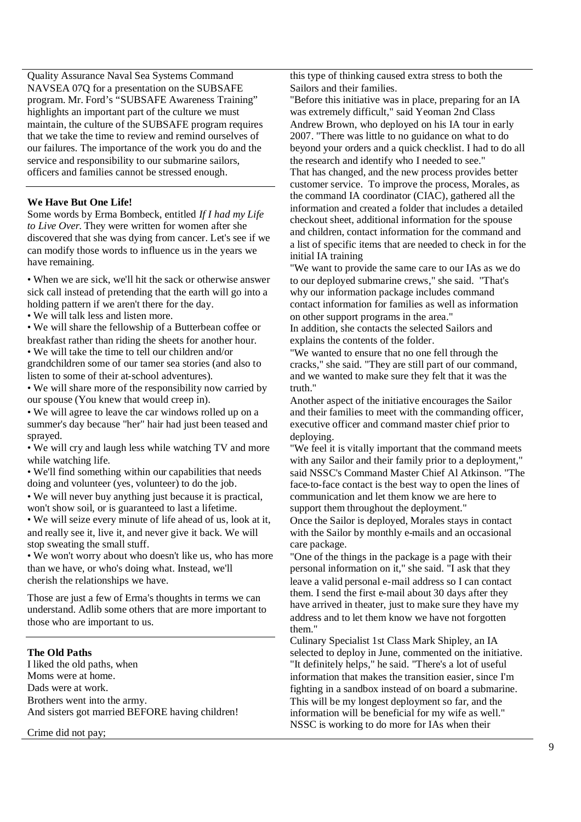Quality Assurance Naval Sea Systems Command NAVSEA 07Q for a presentation on the SUBSAFE program. Mr. Ford's "SUBSAFE Awareness Training" highlights an important part of the culture we must maintain, the culture of the SUBSAFE program requires that we take the time to review and remind ourselves of our failures. The importance of the work you do and the service and responsibility to our submarine sailors, officers and families cannot be stressed enough.

#### **We Have But One Life!**

Some words by Erma Bombeck, entitled *If I had my Life to Live Over*. They were written for women after she discovered that she was dying from cancer. Let's see if we can modify those words to influence us in the years we have remaining.

• When we are sick, we'll hit the sack or otherwise answer sick call instead of pretending that the earth will go into a holding pattern if we aren't there for the day.

• We will talk less and listen more.

• We will share the fellowship of a Butterbean coffee or breakfast rather than riding the sheets for another hour.

• We will take the time to tell our children and/or grandchildren some of our tamer sea stories (and also to listen to some of their at-school adventures).

• We will share more of the responsibility now carried by our spouse (You knew that would creep in).

• We will agree to leave the car windows rolled up on a summer's day because "her" hair had just been teased and sprayed.

• We will cry and laugh less while watching TV and more while watching life.

• We'll find something within our capabilities that needs doing and volunteer (yes, volunteer) to do the job.

• We will never buy anything just because it is practical, won't show soil, or is guaranteed to last a lifetime.

• We will seize every minute of life ahead of us, look at it, and really see it, live it, and never give it back. We will stop sweating the small stuff.

• We won't worry about who doesn't like us, who has more than we have, or who's doing what. Instead, we'll cherish the relationships we have.

Those are just a few of Erma's thoughts in terms we can understand. Adlib some others that are more important to those who are important to us.

#### **The Old Paths**

I liked the old paths, when Moms were at home. Dads were at work. Brothers went into the army. And sisters got married BEFORE having children!

Crime did not pay;

this type of thinking caused extra stress to both the Sailors and their families.

"Before this initiative was in place, preparing for an IA was extremely difficult," said Yeoman 2nd Class Andrew Brown, who deployed on his IA tour in early 2007. "There was little to no guidance on what to do beyond your orders and a quick checklist. I had to do all the research and identify who I needed to see." That has changed, and the new process provides better customer service. To improve the process, Morales, as the command IA coordinator (CIAC), gathered all the information and created a folder that includes a detailed checkout sheet, additional information for the spouse and children, contact information for the command and a list of specific items that are needed to check in for the initial IA training

"We want to provide the same care to our IAs as we do to our deployed submarine crews," she said. "That's why our information package includes command contact information for families as well as information on other support programs in the area."

In addition, she contacts the selected Sailors and explains the contents of the folder.

"We wanted to ensure that no one fell through the cracks," she said. "They are still part of our command, and we wanted to make sure they felt that it was the truth."

Another aspect of the initiative encourages the Sailor and their families to meet with the commanding officer, executive officer and command master chief prior to deploying.

"We feel it is vitally important that the command meets with any Sailor and their family prior to a deployment," said NSSC's Command Master Chief Al Atkinson. "The face-to-face contact is the best way to open the lines of communication and let them know we are here to support them throughout the deployment."

Once the Sailor is deployed, Morales stays in contact with the Sailor by monthly e-mails and an occasional care package.

"One of the things in the package is a page with their personal information on it," she said. "I ask that they leave a valid personal e-mail address so I can contact them. I send the first e-mail about 30 days after they have arrived in theater, just to make sure they have my address and to let them know we have not forgotten them."

Culinary Specialist 1st Class Mark Shipley, an IA selected to deploy in June, commented on the initiative. "It definitely helps," he said. "There's a lot of useful information that makes the transition easier, since I'm fighting in a sandbox instead of on board a submarine. This will be my longest deployment so far, and the information will be beneficial for my wife as well." NSSC is working to do more for IAs when their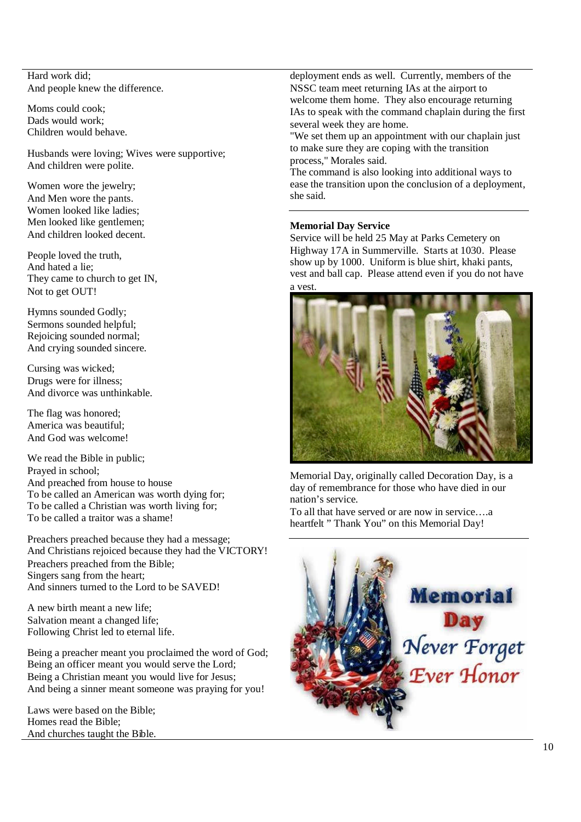Hard work did; And people knew the difference.

Moms could cook; Dads would work; Children would behave.

Husbands were loving; Wives were supportive; And children were polite.

Women wore the jewelry; And Men wore the pants. Women looked like ladies; Men looked like gentlemen; And children looked decent.

People loved the truth, And hated a lie; They came to church to get IN, Not to get OUT!

Hymns sounded Godly; Sermons sounded helpful; Rejoicing sounded normal; And crying sounded sincere.

Cursing was wicked; Drugs were for illness; And divorce was unthinkable.

The flag was honored; America was beautiful; And God was welcome!

We read the Bible in public; Prayed in school; And preached from house to house To be called an American was worth dying for; To be called a Christian was worth living for; To be called a traitor was a shame!

Preachers preached because they had a message; And Christians rejoiced because they had the VICTORY! Preachers preached from the Bible; Singers sang from the heart: And sinners turned to the Lord to be SAVED!

A new birth meant a new life; Salvation meant a changed life; Following Christ led to eternal life.

Being a preacher meant you proclaimed the word of God; Being an officer meant you would serve the Lord; Being a Christian meant you would live for Jesus; And being a sinner meant someone was praying for you!

Laws were based on the Bible; Homes read the Bible; And churches taught the Bible.

deployment ends as well. Currently, members of the NSSC team meet returning IAs at the airport to welcome them home. They also encourage returning IAs to speak with the command chaplain during the first several week they are home.

"We set them up an appointment with our chaplain just to make sure they are coping with the transition process," Morales said.

The command is also looking into additional ways to ease the transition upon the conclusion of a deployment, she said.

# **Memorial Day Service**

Service will be held 25 May at Parks Cemetery on Highway 17A in Summerville. Starts at 1030. Please show up by 1000. Uniform is blue shirt, khaki pants, vest and ball cap. Please attend even if you do not have a vest.



Memorial Day, originally called Decoration Day, is a day of remembrance for those who have died in our nation's service.

To all that have served or are now in service….a heartfelt " Thank You" on this Memorial Day!